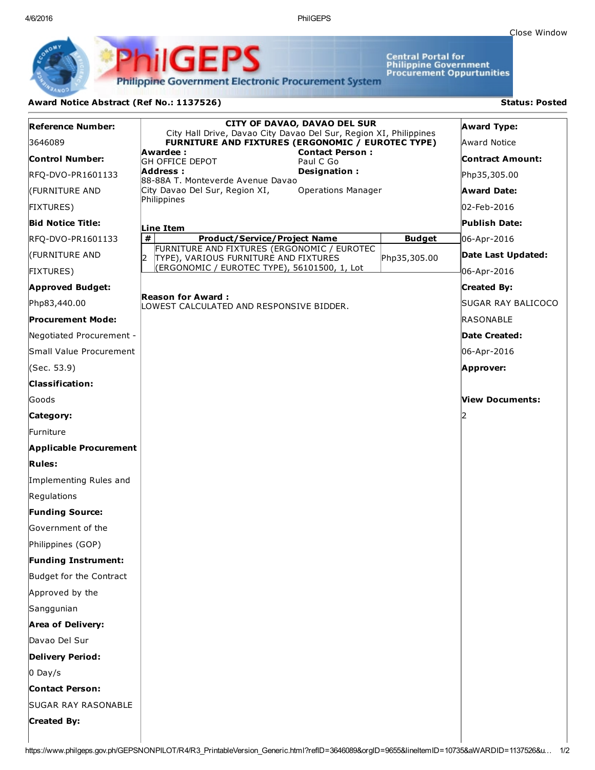4/6/2016 PhilGEPS

Central Portal for<br>Philippine Government<br>Procurement Oppurtunities

**Philippine Government Electronic Procurement System** 

PS

iliGEI

## Award Notice Abstract (Ref No.: 1137526) Status: Posted

Ph

| <b>Reference Number:</b>      | CITY OF DAVAO, DAVAO DEL SUR<br>City Hall Drive, Davao City Davao Del Sur, Region XI, Philippines |               | <b>Award Type:</b>      |
|-------------------------------|---------------------------------------------------------------------------------------------------|---------------|-------------------------|
| 3646089                       | FURNITURE AND FIXTURES (ERGONOMIC / EUROTEC TYPE)                                                 |               | Award Notice            |
| Control Number:               | <b>Contact Person:</b><br>Awardee :<br><b>GH OFFICE DEPOT</b><br>Paul C Go                        |               | <b>Contract Amount:</b> |
| RFQ-DVO-PR1601133             | Address :<br>Designation:<br>88-88A T. Monteverde Avenue Davao                                    |               | Php35,305.00            |
| (FURNITURE AND                | City Davao Del Sur, Region XI,<br><b>Operations Manager</b>                                       |               | <b>Award Date:</b>      |
| <b>FIXTURES)</b>              | Philippines                                                                                       |               | 02-Feb-2016             |
| <b>Bid Notice Title:</b>      | Line Item                                                                                         |               | Publish Date:           |
| RFQ-DVO-PR1601133             | #<br><b>Product/Service/Project Name</b>                                                          | <b>Budget</b> | 06-Apr-2016             |
| (FURNITURE AND                | FURNITURE AND FIXTURES (ERGONOMIC / EUROTEC<br>I2<br>TYPE), VARIOUS FURNITURE AND FIXTURES        | Php35,305.00  | Date Last Updated:      |
| <b>FIXTURES)</b>              | (ERGONOMIC / EUROTEC TYPE), 56101500, 1, Lot                                                      |               | 06-Apr-2016             |
| <b>Approved Budget:</b>       |                                                                                                   |               | <b>Created By:</b>      |
| Php83,440.00                  | <b>Reason for Award:</b><br>LOWEST CALCULATED AND RESPONSIVE BIDDER.                              |               | SUGAR RAY BALICOCO      |
| <b>Procurement Mode:</b>      |                                                                                                   |               | <b>RASONABLE</b>        |
| Negotiated Procurement -      |                                                                                                   |               | Date Created:           |
| Small Value Procurement       |                                                                                                   |               | 06-Apr-2016             |
| (Sec. 53.9)                   |                                                                                                   |               | Approver:               |
| <b>Classification:</b>        |                                                                                                   |               |                         |
| Goods                         |                                                                                                   |               | View Documents:         |
| Category:                     |                                                                                                   |               |                         |
| Furniture                     |                                                                                                   |               |                         |
| <b>Applicable Procurement</b> |                                                                                                   |               |                         |
| <b>Rules:</b>                 |                                                                                                   |               |                         |
| Implementing Rules and        |                                                                                                   |               |                         |
| Regulations                   |                                                                                                   |               |                         |
| <b>Funding Source:</b>        |                                                                                                   |               |                         |
| Government of the             |                                                                                                   |               |                         |
| Philippines (GOP)             |                                                                                                   |               |                         |
| <b>Funding Instrument:</b>    |                                                                                                   |               |                         |
| Budget for the Contract       |                                                                                                   |               |                         |
| Approved by the               |                                                                                                   |               |                         |
| Sanggunian                    |                                                                                                   |               |                         |
| <b>Area of Delivery:</b>      |                                                                                                   |               |                         |
| Davao Del Sur                 |                                                                                                   |               |                         |
| <b>Delivery Period:</b>       |                                                                                                   |               |                         |
| $0$ Day/s                     |                                                                                                   |               |                         |
| <b>Contact Person:</b>        |                                                                                                   |               |                         |
| <b>SUGAR RAY RASONABLE</b>    |                                                                                                   |               |                         |
| <b>Created By:</b>            |                                                                                                   |               |                         |
|                               |                                                                                                   |               |                         |